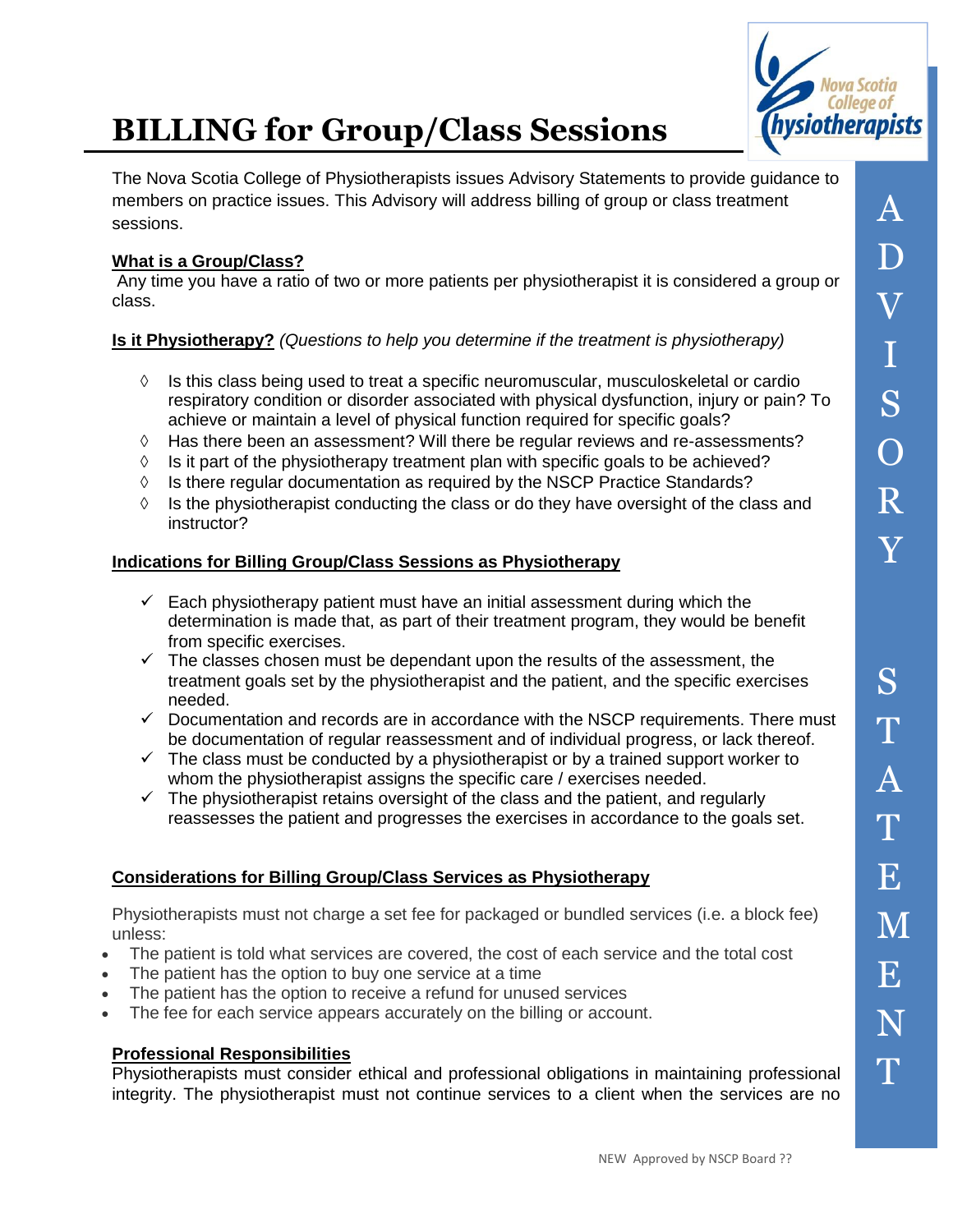

# **BILLING for Group/Class Sessions**

The Nova Scotia College of Physiotherapists issues Advisory Statements to provide guidance to members on practice issues. This Advisory will address billing of group or class treatment sessions.

## **What is a Group/Class?**

Any time you have a ratio of two or more patients per physiotherapist it is considered a group or class.

## **Is it Physiotherapy?** *(Questions to help you determine if the treatment is physiotherapy)*

- $\Diamond$  Is this class being used to treat a specific neuromuscular, musculoskeletal or cardio respiratory condition or disorder associated with physical dysfunction, injury or pain? To achieve or maintain a level of physical function required for specific goals?
- $\Diamond$  Has there been an assessment? Will there be regular reviews and re-assessments?
- $\Diamond$  Is it part of the physiotherapy treatment plan with specific goals to be achieved?
- $\Diamond$  Is there regular documentation as required by the NSCP Practice Standards?
- $\Diamond$  Is the physiotherapist conducting the class or do they have oversight of the class and instructor?

## **Indications for Billing Group/Class Sessions as Physiotherapy**

- $\checkmark$  Each physiotherapy patient must have an initial assessment during which the determination is made that, as part of their treatment program, they would be benefit from specific exercises.
- $\checkmark$  The classes chosen must be dependant upon the results of the assessment, the treatment goals set by the physiotherapist and the patient, and the specific exercises needed.
- $\checkmark$  Documentation and records are in accordance with the NSCP requirements. There must be documentation of regular reassessment and of individual progress, or lack thereof.
- $\checkmark$  The class must be conducted by a physiotherapist or by a trained support worker to whom the physiotherapist assigns the specific care / exercises needed.
- $\checkmark$  The physiotherapist retains oversight of the class and the patient, and regularly reassesses the patient and progresses the exercises in accordance to the goals set.

## **Considerations for Billing Group/Class Services as Physiotherapy**

Physiotherapists must not charge a set fee for packaged or bundled services (i.e. a block fee) unless:

- The patient is told what services are covered, the cost of each service and the total cost
- The patient has the option to buy one service at a time
- The patient has the option to receive a refund for unused services
- The fee for each service appears accurately on the billing or account.

### **Professional Responsibilities**

Physiotherapists must consider ethical and professional obligations in maintaining professional integrity. The physiotherapist must not continue services to a client when the services are no

S

T

A

T

E

M

E

N

T